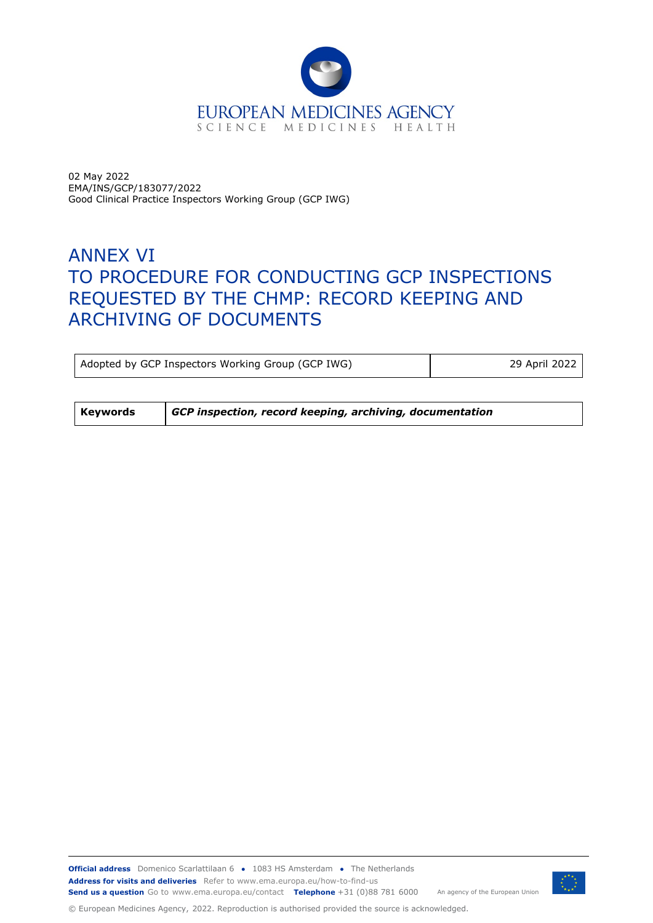

02 May 2022 EMA/INS/GCP/183077/2022 Good Clinical Practice Inspectors Working Group (GCP IWG)

# ANNEX VI TO PROCEDURE FOR CONDUCTING GCP INSPECTIONS REQUESTED BY THE CHMP: RECORD KEEPING AND ARCHIVING OF DOCUMENTS

Adopted by GCP Inspectors Working Group (GCP IWG) 29 April 2022

**Keywords** *GCP inspection, record keeping, archiving, documentation*



© European Medicines Agency, 2022. Reproduction is authorised provided the source is acknowledged.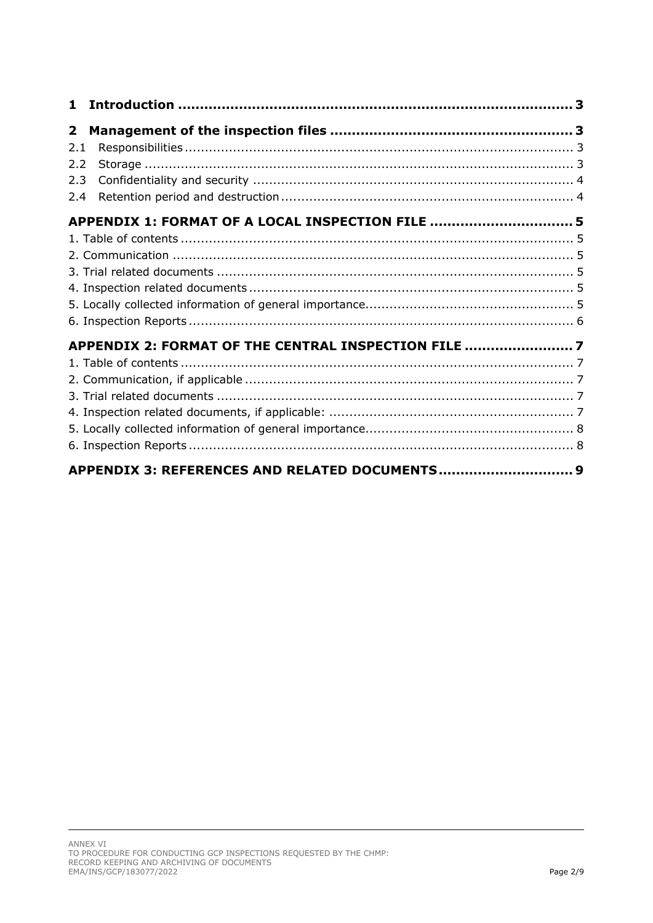| 1.             |                                                     |  |
|----------------|-----------------------------------------------------|--|
| $\overline{2}$ |                                                     |  |
| 2.1            |                                                     |  |
| 2.2            |                                                     |  |
| 2.3            |                                                     |  |
| 2.4            |                                                     |  |
|                | APPENDIX 1: FORMAT OF A LOCAL INSPECTION FILE  5    |  |
|                |                                                     |  |
|                |                                                     |  |
|                |                                                     |  |
|                |                                                     |  |
|                |                                                     |  |
|                |                                                     |  |
|                | APPENDIX 2: FORMAT OF THE CENTRAL INSPECTION FILE 7 |  |
|                |                                                     |  |
|                |                                                     |  |
|                |                                                     |  |
|                |                                                     |  |
|                |                                                     |  |
|                |                                                     |  |
|                | APPENDIX 3: REFERENCES AND RELATED DOCUMENTS 9      |  |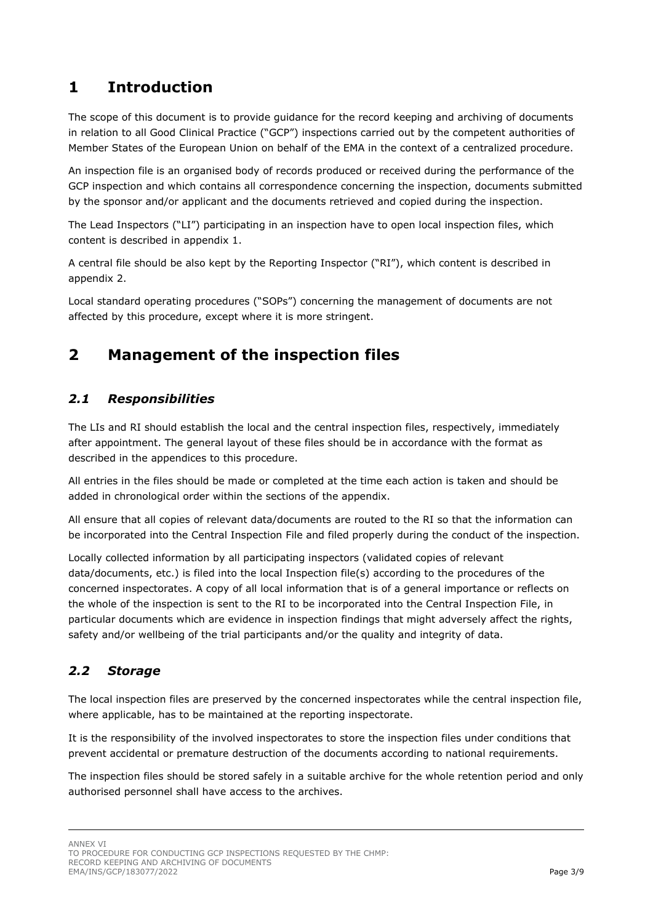## <span id="page-2-0"></span>**1 Introduction**

The scope of this document is to provide guidance for the record keeping and archiving of documents in relation to all Good Clinical Practice ("GCP") inspections carried out by the competent authorities of Member States of the European Union on behalf of the EMA in the context of a centralized procedure.

An inspection file is an organised body of records produced or received during the performance of the GCP inspection and which contains all correspondence concerning the inspection, documents submitted by the sponsor and/or applicant and the documents retrieved and copied during the inspection.

The Lead Inspectors ("LI") participating in an inspection have to open local inspection files, which content is described in appendix 1.

A central file should be also kept by the Reporting Inspector ("RI"), which content is described in appendix 2.

Local standard operating procedures ("SOPs") concerning the management of documents are not affected by this procedure, except where it is more stringent.

## <span id="page-2-1"></span>**2 Management of the inspection files**

### <span id="page-2-2"></span>*2.1 Responsibilities*

The LIs and RI should establish the local and the central inspection files, respectively, immediately after appointment. The general layout of these files should be in accordance with the format as described in the appendices to this procedure.

All entries in the files should be made or completed at the time each action is taken and should be added in chronological order within the sections of the appendix.

All ensure that all copies of relevant data/documents are routed to the RI so that the information can be incorporated into the Central Inspection File and filed properly during the conduct of the inspection.

Locally collected information by all participating inspectors (validated copies of relevant data/documents, etc.) is filed into the local Inspection file(s) according to the procedures of the concerned inspectorates. A copy of all local information that is of a general importance or reflects on the whole of the inspection is sent to the RI to be incorporated into the Central Inspection File, in particular documents which are evidence in inspection findings that might adversely affect the rights, safety and/or wellbeing of the trial participants and/or the quality and integrity of data.

#### <span id="page-2-3"></span>*2.2 Storage*

The local inspection files are preserved by the concerned inspectorates while the central inspection file, where applicable, has to be maintained at the reporting inspectorate.

It is the responsibility of the involved inspectorates to store the inspection files under conditions that prevent accidental or premature destruction of the documents according to national requirements.

The inspection files should be stored safely in a suitable archive for the whole retention period and only authorised personnel shall have access to the archives.

ANNEX VI

TO PROCEDURE FOR CONDUCTING GCP INSPECTIONS REQUESTED BY THE CHMP: RECORD KEEPING AND ARCHIVING OF DOCUMENTS EMA/INS/GCP/183077/2022 Page 3/9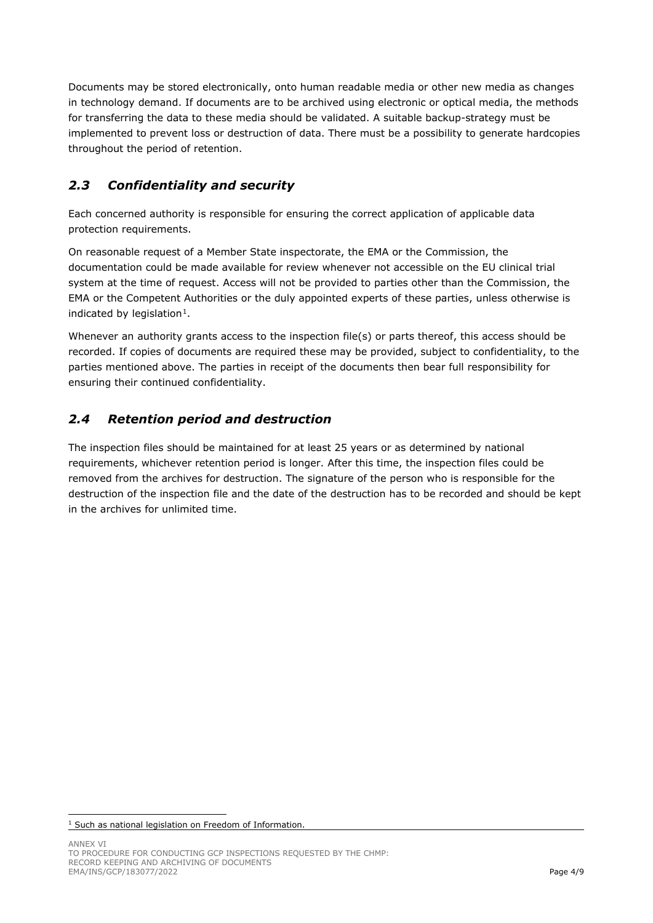Documents may be stored electronically, onto human readable media or other new media as changes in technology demand. If documents are to be archived using electronic or optical media, the methods for transferring the data to these media should be validated. A suitable backup-strategy must be implemented to prevent loss or destruction of data. There must be a possibility to generate hardcopies throughout the period of retention.

### <span id="page-3-0"></span>*2.3 Confidentiality and security*

Each concerned authority is responsible for ensuring the correct application of applicable data protection requirements.

On reasonable request of a Member State inspectorate, the EMA or the Commission, the documentation could be made available for review whenever not accessible on the EU clinical trial system at the time of request. Access will not be provided to parties other than the Commission, the EMA or the Competent Authorities or the duly appointed experts of these parties, unless otherwise is indicated by legislation $1$ .

Whenever an authority grants access to the inspection file(s) or parts thereof, this access should be recorded. If copies of documents are required these may be provided, subject to confidentiality, to the parties mentioned above. The parties in receipt of the documents then bear full responsibility for ensuring their continued confidentiality.

### <span id="page-3-1"></span>*2.4 Retention period and destruction*

The inspection files should be maintained for at least 25 years or as determined by national requirements, whichever retention period is longer. After this time, the inspection files could be removed from the archives for destruction. The signature of the person who is responsible for the destruction of the inspection file and the date of the destruction has to be recorded and should be kept in the archives for unlimited time.

<span id="page-3-2"></span><sup>&</sup>lt;sup>1</sup> Such as national legislation on Freedom of Information.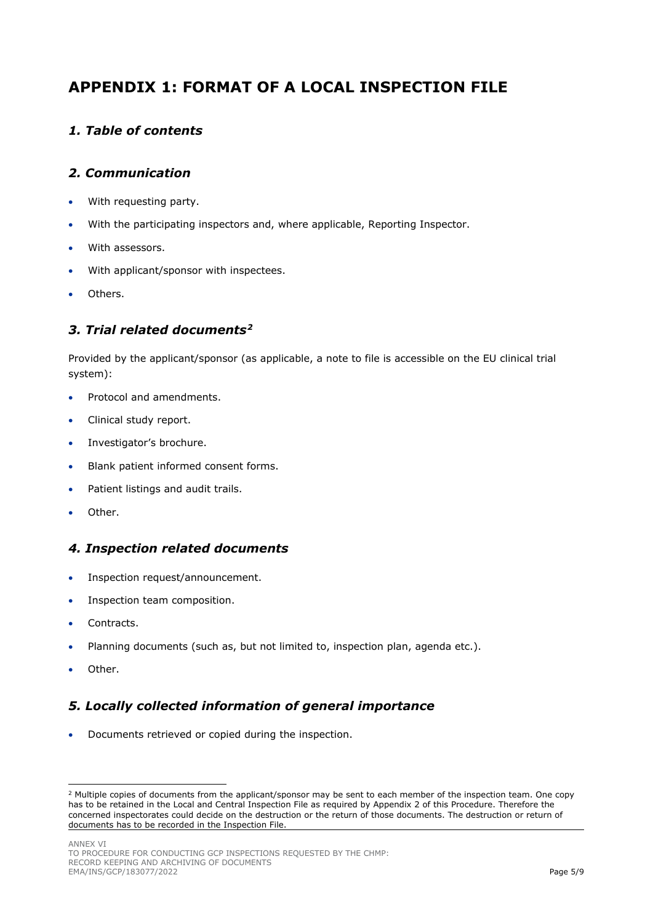## <span id="page-4-0"></span>**APPENDIX 1: FORMAT OF A LOCAL INSPECTION FILE**

#### <span id="page-4-1"></span>*1. Table of contents*

#### <span id="page-4-2"></span>*2. Communication*

- With requesting party.
- With the participating inspectors and, where applicable, Reporting Inspector.
- With assessors.
- With applicant/sponsor with inspectees.
- Others.

#### <span id="page-4-3"></span>*3. Trial related documents[2](#page-4-6)*

Provided by the applicant/sponsor (as applicable, a note to file is accessible on the EU clinical trial system):

- Protocol and amendments.
- Clinical study report.
- Investigator's brochure.
- Blank patient informed consent forms.
- Patient listings and audit trails.
- Other.

#### <span id="page-4-4"></span>*4. Inspection related documents*

- Inspection request/announcement.
- Inspection team composition.
- Contracts.
- Planning documents (such as, but not limited to, inspection plan, agenda etc.).
- Other.

### <span id="page-4-5"></span>*5. Locally collected information of general importance*

• Documents retrieved or copied during the inspection.

ANNEX VI TO PROCEDURE FOR CONDUCTING GCP INSPECTIONS REQUESTED BY THE CHMP: RECORD KEEPING AND ARCHIVING OF DOCUMENTS EMA/INS/GCP/183077/2022 Page 5/9

<span id="page-4-6"></span><sup>&</sup>lt;sup>2</sup> Multiple copies of documents from the applicant/sponsor may be sent to each member of the inspection team. One copy has to be retained in the Local and Central Inspection File as required by Appendix 2 of this Procedure. Therefore the concerned inspectorates could decide on the destruction or the return of those documents. The destruction or return of documents has to be recorded in the Inspection File.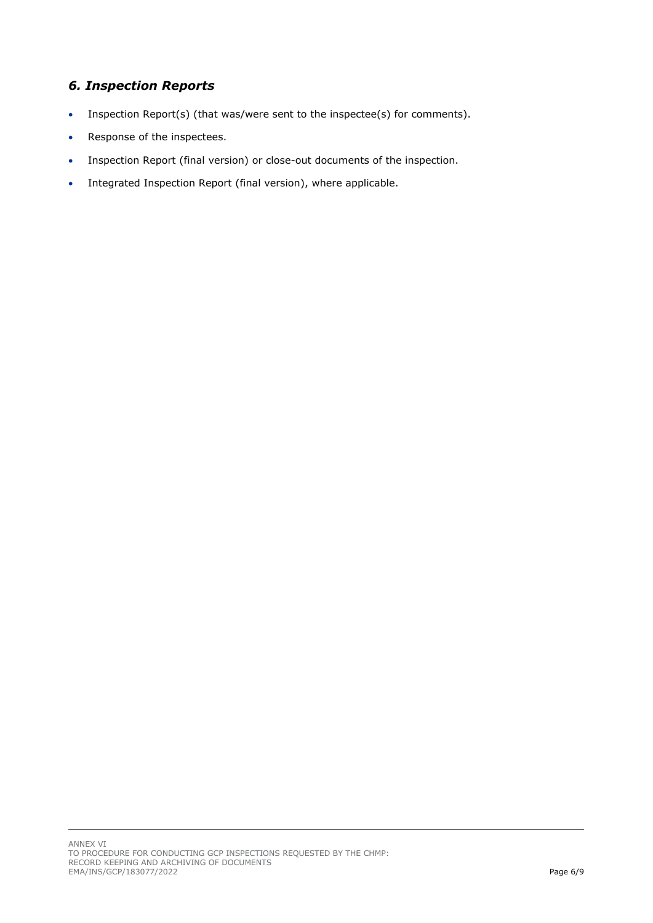### <span id="page-5-0"></span>*6. Inspection Reports*

- Inspection Report(s) (that was/were sent to the inspectee(s) for comments).
- Response of the inspectees.
- Inspection Report (final version) or close-out documents of the inspection.
- Integrated Inspection Report (final version), where applicable.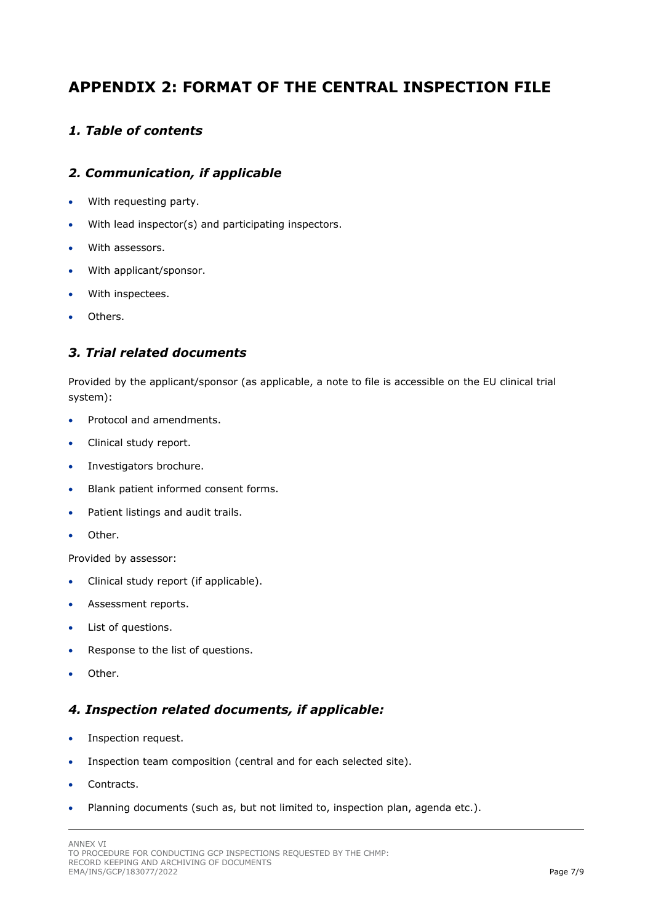## <span id="page-6-0"></span>**APPENDIX 2: FORMAT OF THE CENTRAL INSPECTION FILE**

#### <span id="page-6-1"></span>*1. Table of contents*

#### <span id="page-6-2"></span>*2. Communication, if applicable*

- With requesting party.
- With lead inspector(s) and participating inspectors.
- With assessors.
- With applicant/sponsor.
- With inspectees.
- Others.

#### <span id="page-6-3"></span>*3. Trial related documents*

Provided by the applicant/sponsor (as applicable, a note to file is accessible on the EU clinical trial system):

- Protocol and amendments.
- Clinical study report.
- Investigators brochure.
- Blank patient informed consent forms.
- Patient listings and audit trails.
- Other.

Provided by assessor:

- Clinical study report (if applicable).
- Assessment reports.
- List of questions.
- Response to the list of questions.
- Other.

#### <span id="page-6-4"></span>*4. Inspection related documents, if applicable:*

- Inspection request.
- Inspection team composition (central and for each selected site).
- Contracts.
- Planning documents (such as, but not limited to, inspection plan, agenda etc.).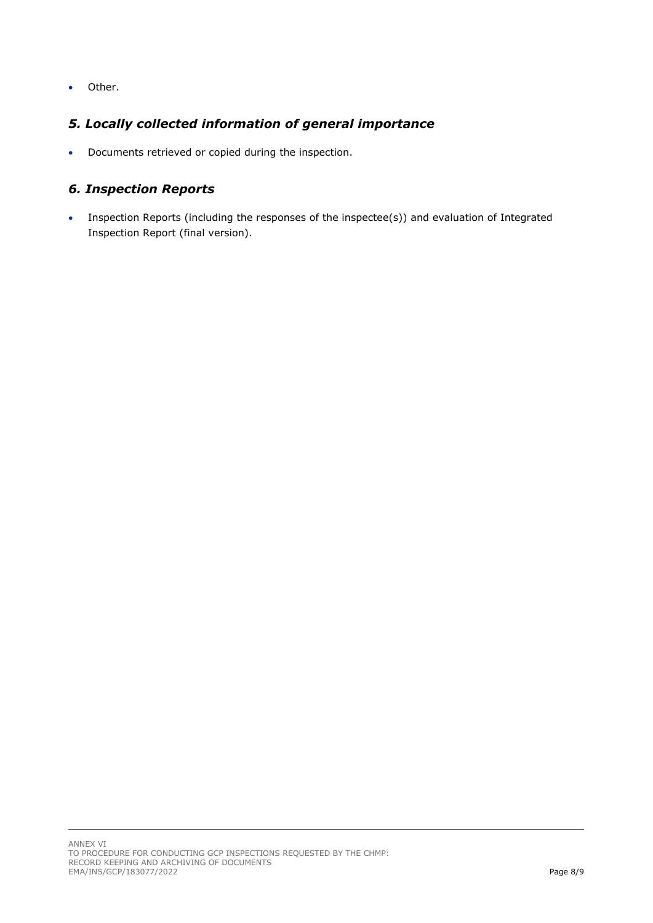• Other.

### <span id="page-7-0"></span>*5. Locally collected information of general importance*

• Documents retrieved or copied during the inspection.

#### <span id="page-7-1"></span>*6. Inspection Reports*

• Inspection Reports (including the responses of the inspectee(s)) and evaluation of Integrated Inspection Report (final version).